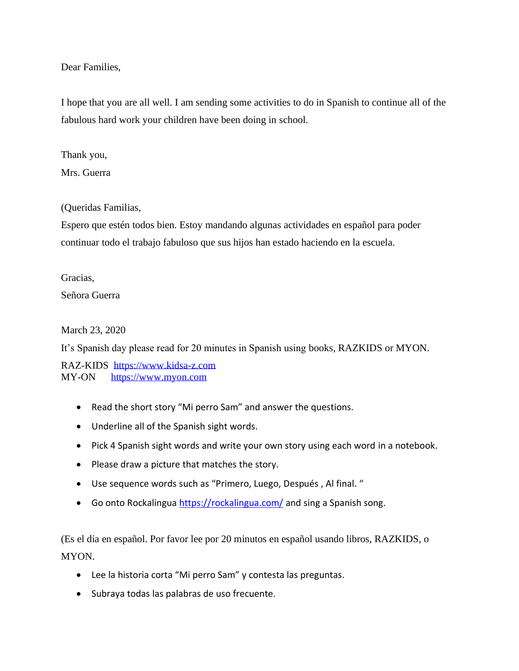Dear Families,

I hope that you are all well. I am sending some activities to do in Spanish to continue all of the fabulous hard work your children have been doing in school.

Thank you,

Mrs. Guerra

(Queridas Familias,

Espero que estén todos bien. Estoy mandando algunas actividades en español para poder continuar todo el trabajo fabuloso que sus hijos han estado haciendo en la escuela.

Gracias, Señora Guerra

March 23, 2020

It's Spanish day please read for 20 minutes in Spanish using books, RAZKIDS or MYON.

RAZ-KIDS [https://www.kidsa-z.com](https://www.kidsa-z.com/) MY-ON [https://www.myon.com](https://www.myon.com/)

- Read the short story "Mi perro Sam" and answer the questions.
- Underline all of the Spanish sight words.
- Pick 4 Spanish sight words and write your own story using each word in a notebook.
- Please draw a picture that matches the story.
- Use sequence words such as "Primero, Luego, Después , Al final. "
- Go onto Rockalingua<https://rockalingua.com/> and sing a Spanish song.

- Lee la historia corta "Mi perro Sam" y contesta las preguntas.
- Subraya todas las palabras de uso frecuente.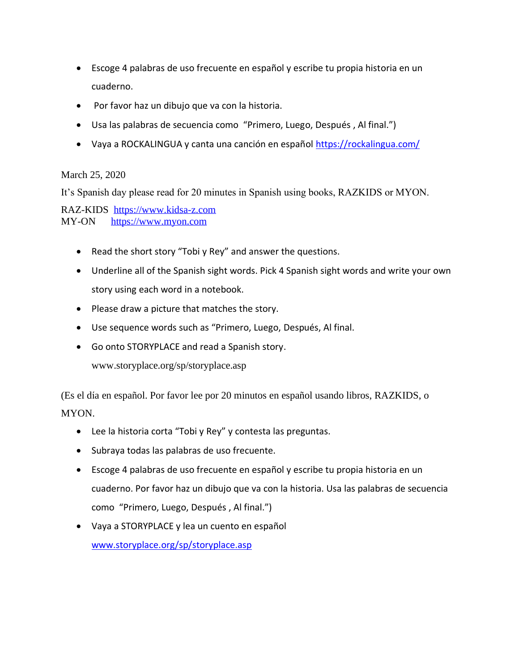- Escoge 4 palabras de uso frecuente en español y escribe tu propia historia en un cuaderno.
- Por favor haz un dibujo que va con la historia.
- Usa las palabras de secuencia como "Primero, Luego, Después , Al final.")
- Vaya a ROCKALINGUA y canta una canción en español<https://rockalingua.com/>

## March 25, 2020

It's Spanish day please read for 20 minutes in Spanish using books, RAZKIDS or MYON.

RAZ-KIDS [https://www.kidsa-z.com](https://www.kidsa-z.com/) MY-ON [https://www.myon.com](https://www.myon.com/)

- Read the short story "Tobi y Rey" and answer the questions.
- Underline all of the Spanish sight words. Pick 4 Spanish sight words and write your own story using each word in a notebook.
- Please draw a picture that matches the story.
- Use sequence words such as "Primero, Luego, Después, Al final.
- Go onto STORYPLACE and read a Spanish story.

www.storyplace.org/sp/storyplace.asp

- Lee la historia corta "Tobi y Rey" y contesta las preguntas.
- Subraya todas las palabras de uso frecuente.
- Escoge 4 palabras de uso frecuente en español y escribe tu propia historia en un cuaderno. Por favor haz un dibujo que va con la historia. Usa las palabras de secuencia como "Primero, Luego, Después , Al final.")
- Vaya a STORYPLACE y lea un cuento en español [www.storyplace.org/sp/storyplace.asp](http://www.storyplace.org/sp/storyplace.asp)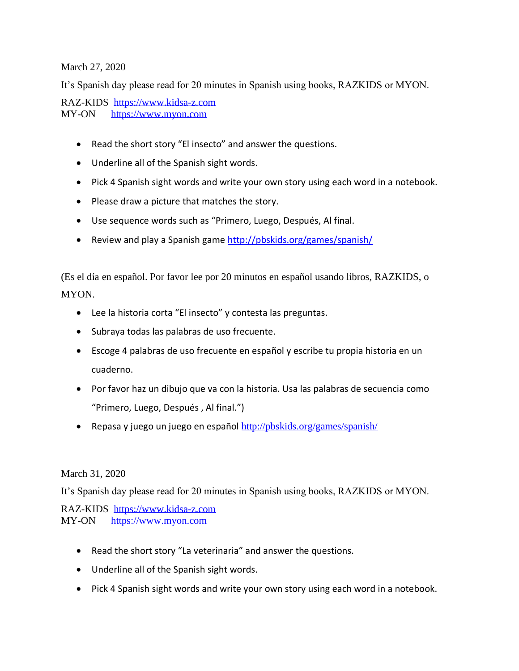March 27, 2020

It's Spanish day please read for 20 minutes in Spanish using books, RAZKIDS or MYON.

RAZ-KIDS [https://www.kidsa-z.com](https://www.kidsa-z.com/) MY-ON [https://www.myon.com](https://www.myon.com/)

- Read the short story "El insecto" and answer the questions.
- Underline all of the Spanish sight words.
- Pick 4 Spanish sight words and write your own story using each word in a notebook.
- Please draw a picture that matches the story.
- Use sequence words such as "Primero, Luego, Después, Al final.
- Review and play a Spanish game<http://pbskids.org/games/spanish/>

(Es el día en español. Por favor lee por 20 minutos en español usando libros, RAZKIDS, o MYON.

- Lee la historia corta "El insecto" y contesta las preguntas.
- Subraya todas las palabras de uso frecuente.
- Escoge 4 palabras de uso frecuente en español y escribe tu propia historia en un cuaderno.
- Por favor haz un dibujo que va con la historia. Usa las palabras de secuencia como "Primero, Luego, Después , Al final.")
- Repasa y juego un juego en español <http://pbskids.org/games/spanish/>

## March 31, 2020

It's Spanish day please read for 20 minutes in Spanish using books, RAZKIDS or MYON.

RAZ-KIDS [https://www.kidsa-z.com](https://www.kidsa-z.com/) MY-ON [https://www.myon.com](https://www.myon.com/)

- Read the short story "La veterinaria" and answer the questions.
- Underline all of the Spanish sight words.
- Pick 4 Spanish sight words and write your own story using each word in a notebook.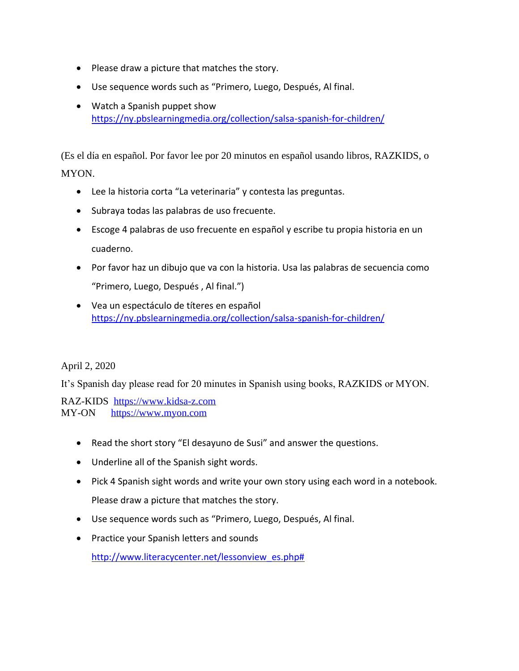- Please draw a picture that matches the story.
- Use sequence words such as "Primero, Luego, Después, Al final.
- Watch a Spanish puppet show <https://ny.pbslearningmedia.org/collection/salsa-spanish-for-children/>

(Es el día en español. Por favor lee por 20 minutos en español usando libros, RAZKIDS, o MYON.

- Lee la historia corta "La veterinaria" y contesta las preguntas.
- Subraya todas las palabras de uso frecuente.
- Escoge 4 palabras de uso frecuente en español y escribe tu propia historia en un cuaderno.
- Por favor haz un dibujo que va con la historia. Usa las palabras de secuencia como "Primero, Luego, Después , Al final.")
- Vea un espectáculo de títeres en español <https://ny.pbslearningmedia.org/collection/salsa-spanish-for-children/>

## April 2, 2020

It's Spanish day please read for 20 minutes in Spanish using books, RAZKIDS or MYON.

RAZ-KIDS [https://www.kidsa-z.com](https://www.kidsa-z.com/) MY-ON [https://www.myon.com](https://www.myon.com/)

- Read the short story "El desayuno de Susi" and answer the questions.
- Underline all of the Spanish sight words.
- Pick 4 Spanish sight words and write your own story using each word in a notebook. Please draw a picture that matches the story.
- Use sequence words such as "Primero, Luego, Después, Al final.
- Practice your Spanish letters and sounds

[http://www.literacycenter.net/lessonview\\_es.php#](http://www.literacycenter.net/lessonview_es.php)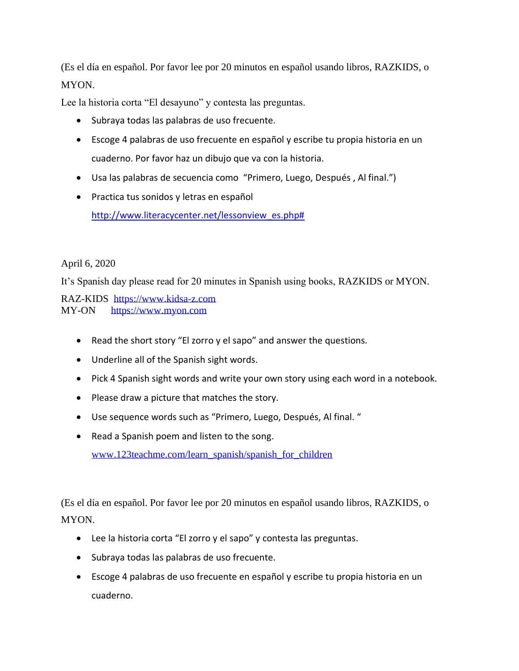(Es el día en español. Por favor lee por 20 minutos en español usando libros, RAZKIDS, o MYON.

Lee la historia corta "El desayuno" y contesta las preguntas.

- Subraya todas las palabras de uso frecuente.
- Escoge 4 palabras de uso frecuente en español y escribe tu propia historia en un cuaderno. Por favor haz un dibujo que va con la historia.
- Usa las palabras de secuencia como "Primero, Luego, Después , Al final.")
- Practica tus sonidos y letras en español [http://www.literacycenter.net/lessonview\\_es.php#](http://www.literacycenter.net/lessonview_es.php)

## April 6, 2020

It's Spanish day please read for 20 minutes in Spanish using books, RAZKIDS or MYON.

RAZ-KIDS [https://www.kidsa-z.com](https://www.kidsa-z.com/) MY-ON [https://www.myon.com](https://www.myon.com/)

- Read the short story "El zorro y el sapo" and answer the questions.
- Underline all of the Spanish sight words.
- Pick 4 Spanish sight words and write your own story using each word in a notebook.
- Please draw a picture that matches the story.
- Use sequence words such as "Primero, Luego, Después, Al final. "
- Read a Spanish poem and listen to the song. [www.123teachme.com/learn\\_spanish/spanish\\_for\\_children](http://www.123teachme.com/learn_spanish/spanish_for_children)

- Lee la historia corta "El zorro y el sapo" y contesta las preguntas.
- Subraya todas las palabras de uso frecuente.
- Escoge 4 palabras de uso frecuente en español y escribe tu propia historia en un cuaderno.